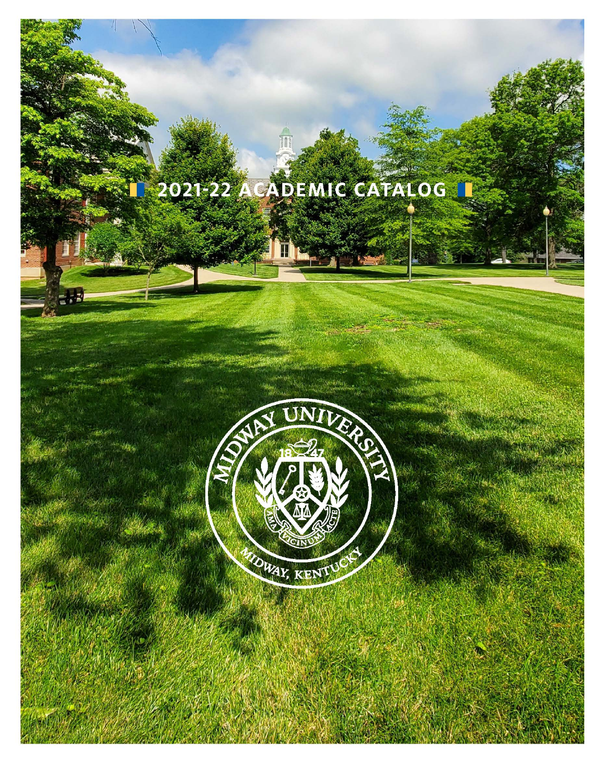